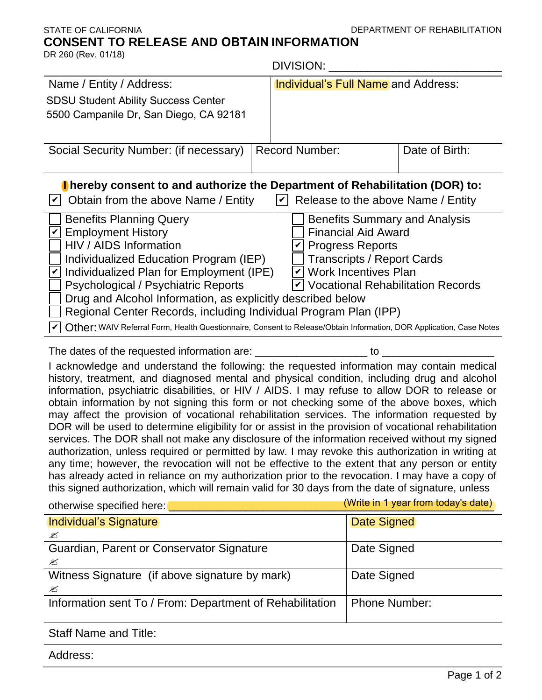## DEPARTMENT OF REHABILITATION

## STATE OF CALIFORNIA **CONSENT TO RELEASE AND OBTAIN INFORMATION**

| DR 260 (Rev. 01/18)                                                                                                                                                                                                                                                                                                                                                                                                                                                                                                                                                                                                                                                                                                                                                                                                                                                                                                                                                                                                                                                                                               | <b>DIVISION:</b>                           |                |  |
|-------------------------------------------------------------------------------------------------------------------------------------------------------------------------------------------------------------------------------------------------------------------------------------------------------------------------------------------------------------------------------------------------------------------------------------------------------------------------------------------------------------------------------------------------------------------------------------------------------------------------------------------------------------------------------------------------------------------------------------------------------------------------------------------------------------------------------------------------------------------------------------------------------------------------------------------------------------------------------------------------------------------------------------------------------------------------------------------------------------------|--------------------------------------------|----------------|--|
| Name / Entity / Address:                                                                                                                                                                                                                                                                                                                                                                                                                                                                                                                                                                                                                                                                                                                                                                                                                                                                                                                                                                                                                                                                                          | <b>Individual's Full Name and Address:</b> |                |  |
| <b>SDSU Student Ability Success Center</b><br>5500 Campanile Dr, San Diego, CA 92181                                                                                                                                                                                                                                                                                                                                                                                                                                                                                                                                                                                                                                                                                                                                                                                                                                                                                                                                                                                                                              |                                            |                |  |
| Social Security Number: (if necessary)                                                                                                                                                                                                                                                                                                                                                                                                                                                                                                                                                                                                                                                                                                                                                                                                                                                                                                                                                                                                                                                                            | <b>Record Number:</b>                      | Date of Birth: |  |
| Thereby consent to and authorize the Department of Rehabilitation (DOR) to:<br>$\vert \mathbf{v} \vert$ Obtain from the above Name / Entity<br>$ v $ Release to the above Name / Entity                                                                                                                                                                                                                                                                                                                                                                                                                                                                                                                                                                                                                                                                                                                                                                                                                                                                                                                           |                                            |                |  |
| <b>Benefits Planning Query</b><br><b>Benefits Summary and Analysis</b><br><b>Financial Aid Award</b><br><b>Employment History</b><br>HIV / AIDS Information<br><b>Progress Reports</b><br>Individualized Education Program (IEP)<br><b>Transcripts / Report Cards</b><br>Individualized Plan for Employment (IPE)<br>$\vee$ Work Incentives Plan<br>$\checkmark$<br><b>Psychological / Psychiatric Reports</b><br>$\vert \mathbf{v} \vert$ Vocational Rehabilitation Records<br>Drug and Alcohol Information, as explicitly described below<br>Regional Center Records, including Individual Program Plan (IPP)<br>Other: WAIV Referral Form, Health Questionnaire, Consent to Release/Obtain Information, DOR Application, Case Notes                                                                                                                                                                                                                                                                                                                                                                            |                                            |                |  |
| The dates of the requested information are: ______________________ to _                                                                                                                                                                                                                                                                                                                                                                                                                                                                                                                                                                                                                                                                                                                                                                                                                                                                                                                                                                                                                                           |                                            |                |  |
| I acknowledge and understand the following: the requested information may contain medical<br>history, treatment, and diagnosed mental and physical condition, including drug and alcohol<br>information, psychiatric disabilities, or HIV / AIDS. I may refuse to allow DOR to release or<br>obtain information by not signing this form or not checking some of the above boxes, which<br>may affect the provision of vocational rehabilitation services. The information requested by<br>DOR will be used to determine eligibility for or assist in the provision of vocational rehabilitation<br>services. The DOR shall not make any disclosure of the information received without my signed<br>authorization, unless required or permitted by law. I may revoke this authorization in writing at<br>any time; however, the revocation will not be effective to the extent that any person or entity<br>has already acted in reliance on my authorization prior to the revocation. I may have a copy of<br>this signed authorization, which will remain valid for 30 days from the date of signature, unless |                                            |                |  |

| otherwise specified here:                                | (Write in 1 year from today's date) |  |
|----------------------------------------------------------|-------------------------------------|--|
| <b>Individual's Signature</b>                            | <b>Date Signed</b>                  |  |
| ✍                                                        |                                     |  |
| Guardian, Parent or Conservator Signature                | Date Signed                         |  |
| ✍                                                        |                                     |  |
| Witness Signature (if above signature by mark)           | Date Signed                         |  |
| ✍                                                        |                                     |  |
| Information sent To / From: Department of Rehabilitation | <b>Phone Number:</b>                |  |
|                                                          |                                     |  |
|                                                          |                                     |  |

Staff Name and Title:

Address: